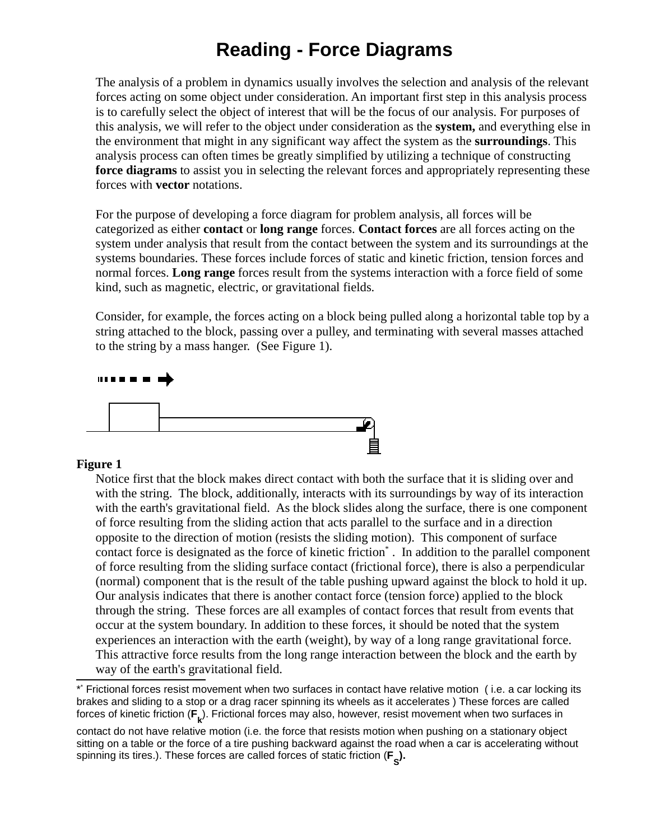# **Reading - Force Diagrams**

The analysis of a problem in dynamics usually involves the selection and analysis of the relevant forces acting on some object under consideration. An important first step in this analysis process is to carefully select the object of interest that will be the focus of our analysis. For purposes of this analysis, we will refer to the object under consideration as the **system,** and everything else in the environment that might in any significant way affect the system as the **surroundings**. This analysis process can often times be greatly simplified by utilizing a technique of constructing **force diagrams** to assist you in selecting the relevant forces and appropriately representing these forces with **vector** notations.

For the purpose of developing a force diagram for problem analysis, all forces will be categorized as either **contact** or **long range** forces. **Contact forces** are all forces acting on the system under analysis that result from the contact between the system and its surroundings at the systems boundaries. These forces include forces of static and kinetic friction, tension forces and normal forces. **Long range** forces result from the systems interaction with a force field of some kind, such as magnetic, electric, or gravitational fields.

Consider, for example, the forces acting on a block being pulled along a horizontal table top by a string attached to the block, passing over a pulley, and terminating with several masses attached to the string by a mass hanger. (See Figure 1).



### **Figure 1**

Notice first that the block makes direct contact with both the surface that it is sliding over and with the string. The block, additionally, interacts with its surroundings by way of its interaction with the earth's gravitational field. As the block slides along the surface, there is one component of force resulting from the sliding action that acts parallel to the surface and in a direction opposite to the direction of motion (resists the sliding motion). This component of surface contact force is designated as the force of kinetic friction\* . In addition to the parallel component of force resulting from the sliding surface contact (frictional force), there is also a perpendicular (normal) component that is the result of the table pushing upward against the block to hold it up. Our analysis indicates that there is another contact force (tension force) applied to the block through the string. These forces are all examples of contact forces that result from events that occur at the system boundary. In addition to these forces, it should be noted that the system experiences an interaction with the earth (weight), by way of a long range gravitational force. This attractive force results from the long range interaction between the block and the earth by way of the earth's gravitational field.

<sup>\*</sup> \* Frictional forces resist movement when two surfaces in contact have relative motion ( i.e. a car locking its brakes and sliding to a stop or a drag racer spinning its wheels as it accelerates ) These forces are called forces of kinetic friction (**F<sub>k</sub>**). Frictional forces may also, however, resist movement when two surfaces in

contact do not have relative motion (i.e. the force that resists motion when pushing on a stationary object sitting on a table or the force of a tire pushing backward against the road when a car is accelerating without spinning its tires.). These forces are called forces of static friction (**F S ).**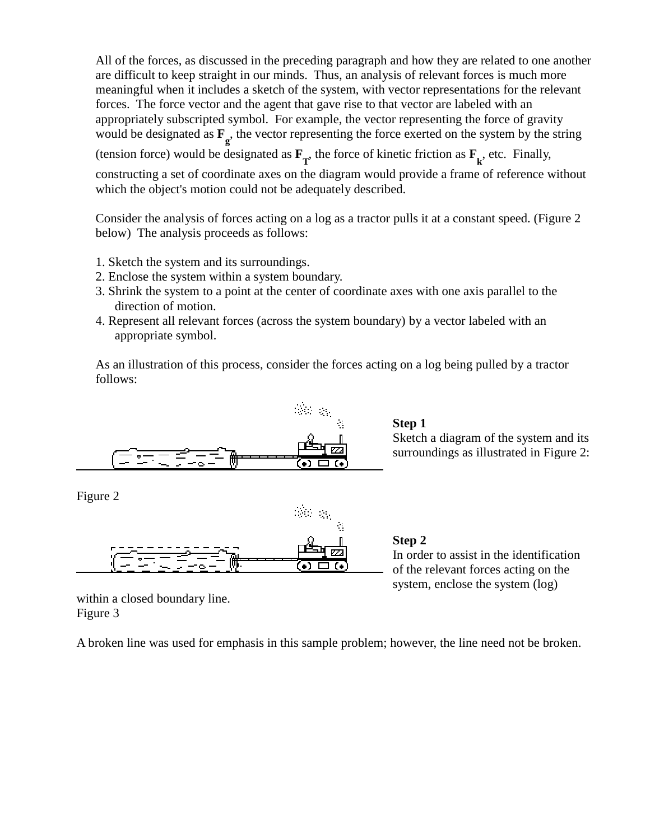All of the forces, as discussed in the preceding paragraph and how they are related to one another are difficult to keep straight in our minds. Thus, an analysis of relevant forces is much more meaningful when it includes a sketch of the system, with vector representations for the relevant forces. The force vector and the agent that gave rise to that vector are labeled with an appropriately subscripted symbol. For example, the vector representing the force of gravity would be designated as  $\mathbf{F}_g$ , the vector representing the force exerted on the system by the string

(tension force) would be designated as  $\mathbf{F}_{T}$ , the force of kinetic friction as  $\mathbf{F}_{k}$ , etc. Finally, constructing a set of coordinate axes on the diagram would provide a frame of reference without which the object's motion could not be adequately described.

Consider the analysis of forces acting on a log as a tractor pulls it at a constant speed. (Figure 2 below) The analysis proceeds as follows:

- 1. Sketch the system and its surroundings.
- 2. Enclose the system within a system boundary.
- 3. Shrink the system to a point at the center of coordinate axes with one axis parallel to the direction of motion.
- 4. Represent all relevant forces (across the system boundary) by a vector labeled with an appropriate symbol.

As an illustration of this process, consider the forces acting on a log being pulled by a tractor follows:



## **Step 1**

Sketch a diagram of the system and its surroundings as illustrated in Figure 2:

Figure 2



**Step 2** In order to assist in the identification of the relevant forces acting on the

system, enclose the system (log)

within a closed boundary line. Figure 3

A broken line was used for emphasis in this sample problem; however, the line need not be broken.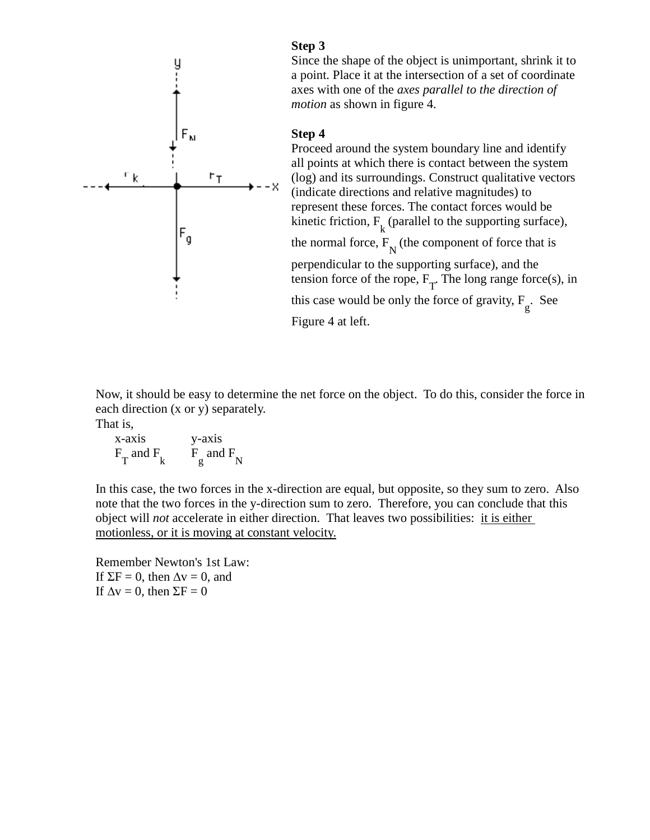

**Step 3** Since the shape of the object is unimportant, shrink it to a point. Place it at the intersection of a set of coordinate axes with one of the *axes parallel to the direction of motion* as shown in figure 4.

### **Step 4**

Proceed around the system boundary line and identify all points at which there is contact between the system (log) and its surroundings. Construct qualitative vectors (indicate directions and relative magnitudes) to represent these forces. The contact forces would be kinetic friction,  $F_k$  (parallel to the supporting surface), the normal force,  $F_N^{\text{}}$  (the component of force that is perpendicular to the supporting surface), and the tension force of the rope,  $F_T$ . The long range force(s), in this case would be only the force of gravity,  $F_g$ . See Figure 4 at left.

Now, it should be easy to determine the net force on the object. To do this, consider the force in each direction (x or y) separately. That is,

x-axis y-axis  $F_T$  and  $F_k$   $F_g$  and  $F_N$ 

In this case, the two forces in the x-direction are equal, but opposite, so they sum to zero. Also note that the two forces in the y-direction sum to zero. Therefore, you can conclude that this object will *not* accelerate in either direction. That leaves two possibilities: it is either motionless, or it is moving at constant velocity.

Remember Newton's 1st Law: If  $\Sigma$ F = 0, then  $\Delta$ v = 0, and If  $\Delta v = 0$ , then  $\Sigma F = 0$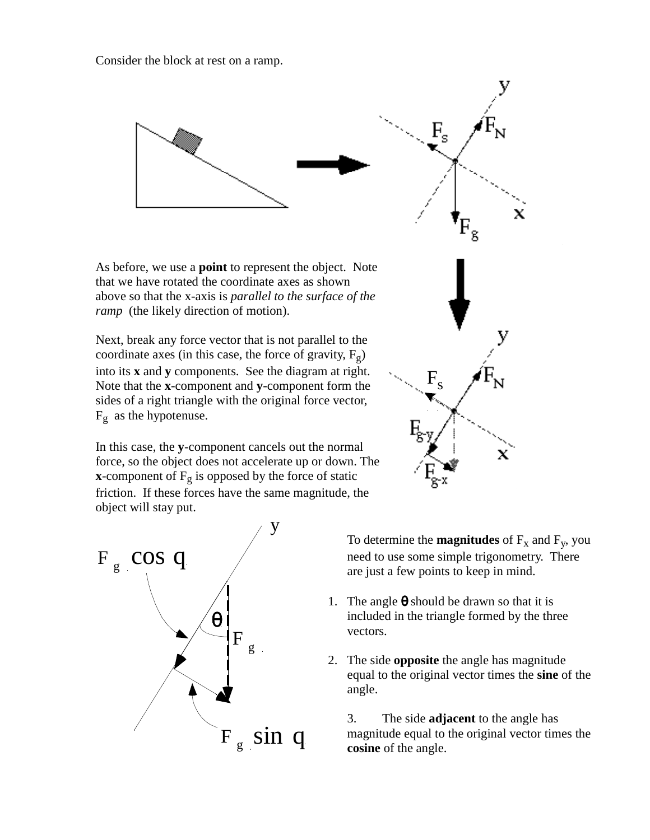

 $F_g$  as the hypotenuse. In this case, the **y**-component cancels out the normal





To determine the **magnitudes** of  $F_x$  and  $F_y$ , you need to use some simple trigonometry. There are just a few points to keep in mind.

x

- 1. The angle  $\theta$  should be drawn so that it is included in the triangle formed by the three vectors.
- 2. The side **opposite** the angle has magnitude equal to the original vector times the **sine** of the angle.

3. The side **adjacent** to the angle has magnitude equal to the original vector times the **cosine** of the angle.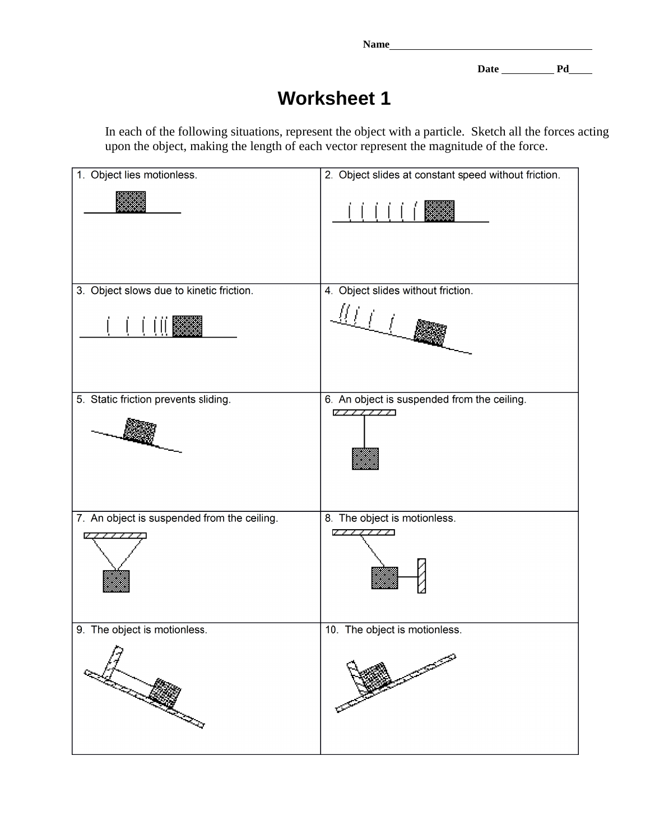**Name** 

Date Pd

# **Worksheet 1**

In each of the following situations, represent the object with a particle. Sketch all the forces acting upon the object, making the length of each vector represent the magnitude of the force.